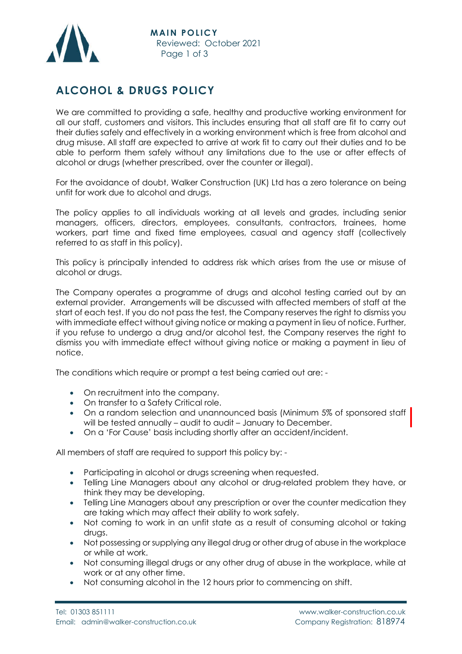

## **ALCOHOL & DRUGS POLICY**

We are committed to providing a safe, healthy and productive working environment for all our staff, customers and visitors. This includes ensuring that all staff are fit to carry out their duties safely and effectively in a working environment which is free from alcohol and drug misuse. All staff are expected to arrive at work fit to carry out their duties and to be able to perform them safely without any limitations due to the use or after effects of alcohol or drugs (whether prescribed, over the counter or illegal).

For the avoidance of doubt, Walker Construction (UK) Ltd has a zero tolerance on being unfit for work due to alcohol and drugs.

The policy applies to all individuals working at all levels and grades, including senior managers, officers, directors, employees, consultants, contractors, trainees, home workers, part time and fixed time employees, casual and agency staff (collectively referred to as staff in this policy).

This policy is principally intended to address risk which arises from the use or misuse of alcohol or drugs.

The Company operates a programme of drugs and alcohol testing carried out by an external provider. Arrangements will be discussed with affected members of staff at the start of each test. If you do not pass the test, the Company reserves the right to dismiss you with immediate effect without giving notice or making a payment in lieu of notice. Further, if you refuse to undergo a drug and/or alcohol test, the Company reserves the right to dismiss you with immediate effect without giving notice or making a payment in lieu of notice.

The conditions which require or prompt a test being carried out are: -

- On recruitment into the company.
- On transfer to a Safety Critical role.
- On a random selection and unannounced basis (Minimum 5% of sponsored staff will be tested annually – audit to audit – January to December.
- On a 'For Cause' basis including shortly after an accident/incident.

All members of staff are required to support this policy by: -

- Participating in alcohol or drugs screening when requested.
- Telling Line Managers about any alcohol or drug-related problem they have, or think they may be developing.
- Telling Line Managers about any prescription or over the counter medication they are taking which may affect their ability to work safely.
- Not coming to work in an unfit state as a result of consuming alcohol or taking drugs.
- Not possessing or supplying any illegal drug or other drug of abuse in the workplace or while at work.
- Not consuming illegal drugs or any other drug of abuse in the workplace, while at work or at any other time.
- Not consuming alcohol in the 12 hours prior to commencing on shift.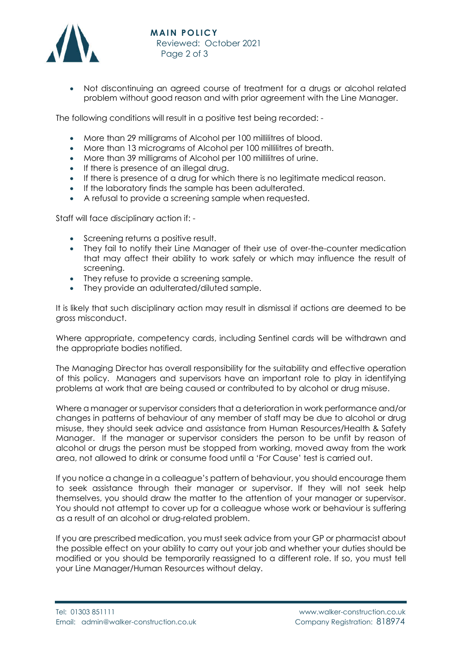

 Not discontinuing an agreed course of treatment for a drugs or alcohol related problem without good reason and with prior agreement with the Line Manager.

The following conditions will result in a positive test being recorded: -

- More than 29 milligrams of Alcohol per 100 millilitres of blood.
- More than 13 micrograms of Alcohol per 100 millilitres of breath.
- More than 39 milligrams of Alcohol per 100 millilitres of urine.
- If there is presence of an illegal drug.
- If there is presence of a drug for which there is no legitimate medical reason.
- If the laboratory finds the sample has been adulterated.
- A refusal to provide a screening sample when requested.

Staff will face disciplinary action if: -

- Screening returns a positive result.
- They fail to notify their Line Manager of their use of over-the-counter medication that may affect their ability to work safely or which may influence the result of screening.
- They refuse to provide a screening sample.
- They provide an adulterated/diluted sample.

It is likely that such disciplinary action may result in dismissal if actions are deemed to be gross misconduct.

Where appropriate, competency cards, including Sentinel cards will be withdrawn and the appropriate bodies notified.

The Managing Director has overall responsibility for the suitability and effective operation of this policy. Managers and supervisors have an important role to play in identifying problems at work that are being caused or contributed to by alcohol or drug misuse.

Where a manager or supervisor considers that a deterioration in work performance and/or changes in patterns of behaviour of any member of staff may be due to alcohol or drug misuse, they should seek advice and assistance from Human Resources/Health & Safety Manager. If the manager or supervisor considers the person to be unfit by reason of alcohol or drugs the person must be stopped from working, moved away from the work area, not allowed to drink or consume food until a 'For Cause' test is carried out.

If you notice a change in a colleague's pattern of behaviour, you should encourage them to seek assistance through their manager or supervisor. If they will not seek help themselves, you should draw the matter to the attention of your manager or supervisor. You should not attempt to cover up for a colleague whose work or behaviour is suffering as a result of an alcohol or drug-related problem.

If you are prescribed medication, you must seek advice from your GP or pharmacist about the possible effect on your ability to carry out your job and whether your duties should be modified or you should be temporarily reassigned to a different role. If so, you must tell your Line Manager/Human Resources without delay.